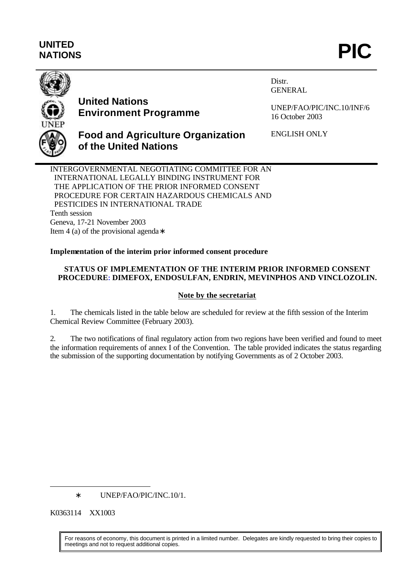# **UNITED** UNITED<br>NATIONS **PIC**



# **United Nations Environment Programme**

Distr. GENERAL

ENGLISH ONLY

UNEP/FAO/PIC/INC.10/INF/6 16 October 2003

## **Food and Agriculture Organization of the United Nations**

INTERGOVERNMENTAL NEGOTIATING COMMITTEE FOR AN INTERNATIONAL LEGALLY BINDING INSTRUMENT FOR THE APPLICATION OF THE PRIOR INFORMED CONSENT PROCEDURE FOR CERTAIN HAZARDOUS CHEMICALS AND PESTICIDES IN INTERNATIONAL TRADE Tenth session Geneva, 17-21 November 2003

Item 4 (a) of the provisional agenda∗

### **Implementation of the interim prior informed consent procedure**

### **STATUS OF IMPLEMENTATION OF THE INTERIM PRIOR INFORMED CONSENT PROCEDURE: DIMEFOX, ENDOSULFAN, ENDRIN, MEVINPHOS AND VINCLOZOLIN.**

### **Note by the secretariat**

1. The chemicals listed in the table below are scheduled for review at the fifth session of the Interim Chemical Review Committee (February 2003).

2. The two notifications of final regulatory action from two regions have been verified and found to meet the information requirements of annex I of the Convention. The table provided indicates the status regarding the submission of the supporting documentation by notifying Governments as of 2 October 2003.

∗ UNEP/FAO/PIC/INC.10/1.

K0363114 XX1003

l

For reasons of economy, this document is printed in a limited number. Delegates are kindly requested to bring their copies to meetings and not to request additional copies.